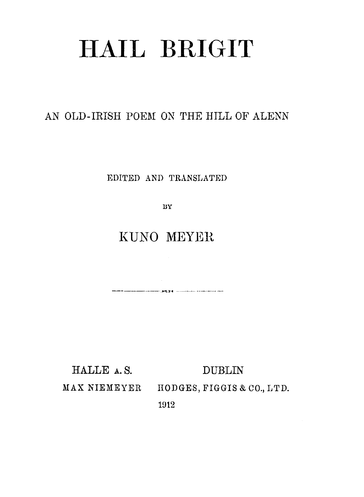# **HAIL BRIGIT**

#### AN OLD-IRISH POEM ON THE HILL OF ALENN

EDITED AND TRANSLATED

BY

### KUNO MEYER

HALLE A.S. **DUBLIN** MAX NIEMEYER HODGES, FIGGIS & CO., LTD.

1912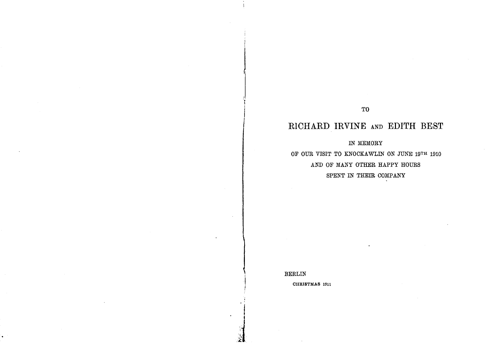CHRISTMAS 1911

BERLIN

) 1 i ,

## IN MEMORY OF OUR VISIT TO KNOCKAWLIN ON JUNE 19TH 1910 AND OF MANY OTHER HAPPY HOURS SPENT IN THEIR COMPANY

## **RICHARD IRVINE** AND **EDITH BEST**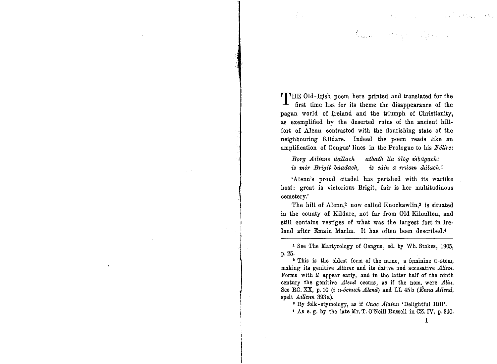**THE** Old-Irjsh poem here printed and translated for the first time has for its theme the disappearance of the pagan world of Ireland and the triumph of Christianity, as exemplified by the deserted ruins of the ancient hillfort of Alenn contrasted with the flourishing state of the neighbouring Kildare. Indeed the poem reads like an amplification of Oengus' lines in the Prologue to his *Felire:*

have a more of the same

*Borg Ailinne uallach* atbath *lia slog mbagach*: *is mór Brigit búadach, is cúin a rrúam dálach.<sup>1</sup>* 

'Alenn's proud citadel has perished with its warlike host: great is victorious Brigit, fair is her multitudinous cemetery.'

The hill of Alenn,<sup>2</sup> now called Knockawlin,<sup>3</sup> is situated in the county of Kildare, not far from Old Kilcullen, and still contains vestiges of what was the largest fort in Ireland after Emain Macha. It has often been described.4

<sup>1</sup> See The Martyrology of Oengus, ed. by Wh. Stokes, 1905, p.25.

<sup>2</sup> This is the oldest form of the name, a feminine a-stem, making its genitive *Alinne* and its dative and accusative *Alinn.* Forms with  *appear early, and in the latter half of the ninth* century the genitive *Alend* occurs, as if the nom. were *Aliu.* See RC. XX, p. 10 (i *n-oenuch Alend)* and LL 45b *(Enna Ailend,* spelt *Aillenn* 393 a).

 $\mathbf{f}$ i<br>! !<br>! i ,

<sup>a</sup> By folk-etymology, as if *Gnac Alainn* 'Delightful Hill'.

, As e. g. by the late Mr. T. O'Neill Russell in CZ.IV, p.340.

1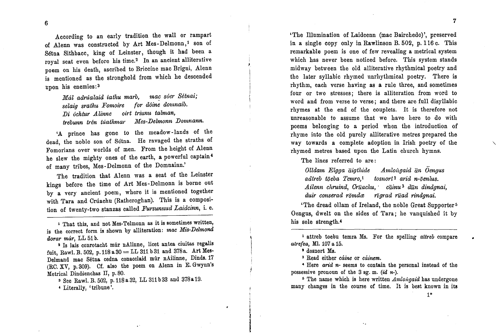According to an early tradition the wall or rampart of Alenn was constructed by Art Mes-Delmonn,<sup>1</sup> son of Setna Sithbacc, king of Leinster, though it had been a royal seat even before his time.2 In an ancient alliterative poem on his death, ascribed to Briccine mac Brigni, Alenn is mentioned as the stronghold from which he descended upon his enemies: 3

*Mál adrúalaid iathu marb, mac sóer Sétnai;*<br>*selaig srathu Fomoire for dóine domnaib. selaig srathu Fomoire for d6ine domnaib.* lJi *uchtur Alinne oirt triunu talman, trebunn tren tuatkmar Mes-lJelmonn lJomnann.*

'A prince has gone to the meadow-lands of the dead, the noble son of Sctna. He ravaged the stratbs of Fomorians over worlds of men. From the height of Alenn he slew the mighty ones of the earth, a powerful captain <sup>4</sup> of many tribes, Mes-Delmonn of the Domnainn.'

The tradition that Alenn was a seat of the Leinster kings before the time of Art Mes-Delmonn is borne out by a very ancient poem, where it is mentioned together with Tara and Cruachu (Rathcroghan). This is a composition of twenty-two stanzas called *Fursunnud Laidcinn,* i. e.

<sup>1</sup> That this, and not Mes-Telmonn as it is sometimes written, is the correct form is shown by alliteration: mac Mis-Delmond *dorar mar,* LL 51 b.

<sup>2</sup> Is lais conrotacht mur nAlinne, licet antea ciuitas regalis fuit, Rawl. B. 502, p. 118 a 30 = LL 311 b 31 and 378a. Art Mes-Delmand mac Sétna cedna conacclaid múr nAilinne, Dinds.17 (RC. XV, p.309). Cf. also the poem on Alenn in E. Gwynn's Metrical Dindsenchas Il, p.80.

<sup>3</sup> See Rawl. B. 502, p. 118 a 32, LL 311 b 33 and 378 a 19.

• Literally, 'tribune'.

7

'The Illumination of Laidcenn (mac Bairchedo)', preserved in a single copy only in Rawlinson B. 502, p. 116 c. This remarkable poem is one of few revealing a metrical system which has never been noticed before. This system stands midway between the old alliterative rhythmical poetry and the later syllabic rhymed nnrhythmical poetry. There is rhythm, each verse having as a rule three, and sometimes four or two stresses; there is alliteration from word to word and from verse to verse; and there are full disyllabic rhymes at the end of the couplets. It is therefore not unreasonable to assume that we have here to do with poems belonging to a period when the introduction of rhyme into the old purely alliterative metres prepared the way towards a complete adoption in Irish poetry of the rhymed metres based upon the Latin church hymns.

The lines referred to are:

*Olldam Elgga aigtltide AmlOJigaid an Oengus adtreb t*<sub>0</sub>*eba Tcmro*,<sup>1</sup> *tosnort*<sup>2</sup> *arid n*-*ōenlus*. *Ailenn cltruind, Oruacltu,' cainu* 3 *dun dindgnai, duir conserad romdee rigmd road rindgnai.*

'The dread ollam of Ireland, the noble Great Supporter<sup>5</sup> Oengus, dwelt on the sides of Tara; he vanquished it by his sole strength.<sup>4</sup>

1 attreb toebu temra Ms. For the spelling *attreb* compare *atrefea,* Ml. 107a 15.

\* dosnort Ms.

<sup>3</sup> Read either *cáine* or *cáinem*.

• Here *arid n-* seems to contain the personal instead of the possessive pronoun of the  $3$  sg. m.  $(id\ n-)$ .

<sup>5</sup> The name which is here written *Amlongaid* has undergone many changes in the course of time. It is best known in its

1\*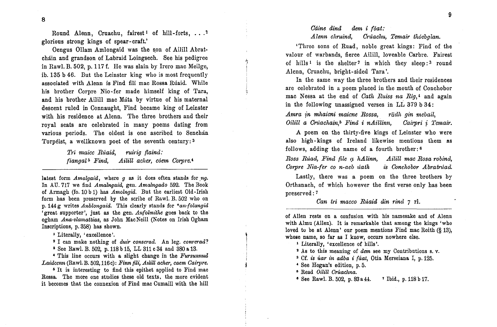8

Round Alenn, Cruachu, fairest<sup>1</sup> of hill-forts, ...<sup>2</sup> glorious strong kings of spear - craft.'

Oengus Ollam Amlongaid was the son of Ailill Abratchain and grandson of Labraid Loingsech. See his pedigree in Raw1. B. 502, p. 117 f. He was slain by Irero mac Meilge, ib. 135 b 46. But the Leinster king who is most frequently associated with Alenn is Find fili mac Rossa Rúaid. While his brother Corpre Nio-fer made himself king of Tara, and his brother Ailill mac Mata by virtue of his maternal descent ruled in Connaught, Find became king of Leinster with his residence at Alenn. The three brothers and their royal seats are celebrated in many poems dating from various periods. The oldest is one ascribed to Senchán Torpeist, a wellknown poet of the seventh century: 3

> *Tri maicc Ruaid, ruirig flaind: fiangal* <sup>S</sup> *Find, Ailill acher, coem Corpre.4*

latest form *Amalgaid*, where *g* as it does often stands for *ng*. In AU.717 we find *Amalngaid,* gen. *Amalngado* 592. The Book of Armagh (fo. 10 b 1) has *Amolngid.* But the earliest Old-Irish form has beeu preserved by the scribe of RawI. B. 502 who on p. 144g writes *Anblongaid.* This clearly stands for *\*an-{olangid* 'great supporter', just as the gen. *An{olmithe* goes back to the ogham *Ana-vlamattias*, as John MacNeill (Notes on Irish Ogham Inscriptions, p. 358) has shown. b

I Literally, 'excellence'.

<sup>2</sup> I can make nothing of *duir conserad.* An leg. *converad?* 

<sup>a</sup> See RawI. B. 502, p.118 b 15, LL 311 c 34 and 380 a 13.

<sup>4</sup> This line occurs with a slight change in the *Fursunnud Laidcenn* (RawI.B. 502,116c): *Finn fili, Al1ill acher, caem Cairpre.*

Rossa. The more one studies these old texts, the more evident it becomes that the connexion of Find mac Cumaill with the hill

#### *Ctiine dind dem* i *foat: Alenn chruind, C1'lJ,achu,Temair thoebglan.*

'Three sons of Ruad, noble great kings: Find of the valour of warbands, fierce Ailill, loveable Carbre. Fairest of hills<sup>1</sup> is the shelter<sup>2</sup> in which they sleep:<sup>3</sup> round Alenn, Cruachu, bright-sided Tara '.

In the same way the three brothers and their residences are celebrated in a poem placed iu the mouth of Conchobor mac Nessa at the end of *Cath Ruiss na Rig,4* and again in the following unassigned verses in LL 379 b 34:

*Amra jn mhaicni maicne Rossa, radh gin mebail, Oilill <sup>a</sup> Croachain,sFind* i *nAillinn, Cairpri <sup>j</sup> Temair.*

A poem on the thirty-five kings of Leinster who were also high-kings of Ireland likewise mentions them as follows, adding the name of a fourth brother: <sup>6</sup>

*Ross Ruad, Find file* g, *hAlinn, Ailill mac Rosa robind, Corpre Nia-fer co n-aeb uath is Conchobor Abratruad.* 

Lastly, there was a poem on the three brothers by Orthanach, of which however the first verse only has been preserved: <sup>7</sup>

*Can tri macco Ruaid din rincl* 7 1'1.

of AlIen rests on a confusion with his namesake and of Alenn with Almu (AlIen). It is remarkable that among the kings 'who loved tu be at Alenn' our poem mentions Find mac Roith (§ 13), whose name, so far as I know, occurs nowhere else.

I Literally, 'excellence of hills'.

<sup>2</sup> As to this meaning of *dem* see my Contributions s. v.

<sup>3</sup> Cf. is *uar in adba* i *{aat,* Otia Merseiana I, p. 125.

<sup>5</sup> Read *Oilill Cruachna*.

• See RawI. B. 502, p. 83a 44. <sup>7</sup> Ibid., p. 118b 17.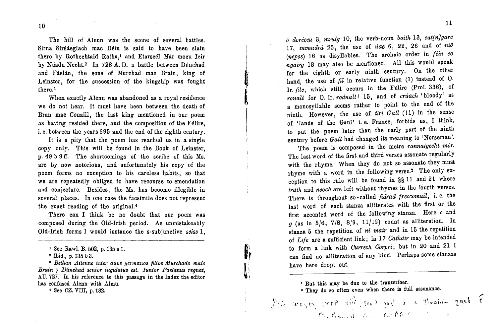The hill of Alenn was the scene of several battles. Sirna Sirsaeglach mac Dein is said to have been slain there by Rothechtaid Ratha,<sup>1</sup> and Etarscel Mar mocu Ieir by Núadu Necht.<sup>2</sup> In 728 A.D. a battle between Dúnchad and Fáelán, the sons of Murchad mac Brain, king of Leinster, for the succession of the kingship was fought there.3

I l<br>L<br>L<br>L<br>L

 $\mathbf{I}$ 

I I I

**f,**I

 $\mathbf{r}$ 

When exactly Alenn was abandoned as a royal residence we do not hear. It must have been between the death of Bran mac Conaill, the last king mentioned in our poem as having resided there, and the composition of the Felire, i. e. between the years 695 and the end of the eighth century.

It is a pity that the poem has reached us in a single copy only. This will bc found in the Book of Leinster, p. 49 b 9 ff. The shortcomings of the scribe of this Ms. are by now notorious, and unfortunately his copy of the poem forms no exception to his careless habits, so that we are repeatedly obliged to have recourse to emendation and conjecture. Besides, the Ms. has become illegible in several places. In one case the facsimile does not represent the exact reading of the original. <sup>4</sup>

There can I think be no doubt that our poem was composed during the Old-Irish period. As unmistakeably Old-Irish forms I would instance the s-subjunctive *seiss* 1,

<sup>3</sup> Bellum Ailenne *inter duos germanos filios Murchado maic Brain* 7 *Dunchad senior iugulatus est. Iunior Faelanus regnat,* AD.727. In his reference to this passage in the Index the editor has confused Alenn with Almu.

• See OZ.VIII, p. 182.

*o dorcccu* 3, *mruig* 10, the verb-noun *boith* 13, *cut[nJgarc* 17, *immudra* 25, the use of *uae* 6, 22, 26 and of *nio (ncpos)* 16 as disyllables. The archaic order in *fein co ngairg* 13 may also be mentioned. All this would speak for the eighth or early ninth century. On the other hand, the use of  $\hat{pl}$  in relative function (1) instead of O. Ir. file, which still occurs in the Félire (Prol. 336), of *ronalt* for O. Ir. *rodnaltl* 15, and of *cruach* 'bloody' as a monosyllable seems mther to point to the end of the ninth. However, the use of *tiri Gall* (11) in the sense of 'lands of the Gau!' 1. e. France, forbids us, I think, to put the poem later than the early part of the ninth century before *Gall* had changed its meaning to 'Norseman'.

The poem is composed in the metre *rannaigecht mor*. The last word of the first and third verses assonate regularly with the rhyme. When they do not so assonate they must rhyme with a word in the following verse.2 The only exception to this rule will be found in §§ 11 and 21 where *trath* and *neoch* are left without rhymes in the fourth verses. There is throughout so - called *fidrad freccomail,* i. e. the last word of each stanza alliterates with the first or the first accented word of the following stanza. Here *c* and  $g$  (as in 5/6, 7/8, 8/9, 11/12) count as alliteration. In stanza 5 the repetition of *ni mair* and in 15 the repetition of *Life* are a sufficient link; in 17 *Cathdir* may be intended to form a link with *Currech Corpri;* but in 20 and 21 I can find no alliteration of any kind. Perhaps some stanzas have here dropt out.

, But this may be due to the transcriber.

<sup>2</sup> They do so often even when there is full assonance.  $\int_{\mathbb{R}^d} \int_{\mathbb{R}^d} \mathcal{M}(\mathcal{U}) \, d\mathcal{U} \, d\mathcal{U} \, d\mathcal{U} \, d\mathcal{U} \, d\mathcal{U} \, d\mathcal{U}$ 

 $\mathcal{O}_\lambda$  . . . . , and . . . , clusters of  $\mathcal{O}_\lambda$  . . (

<sup>1</sup> See Raw!. B. 502, p. 135 a 1.

<sup>2</sup> Ibid., p. 135 b 3.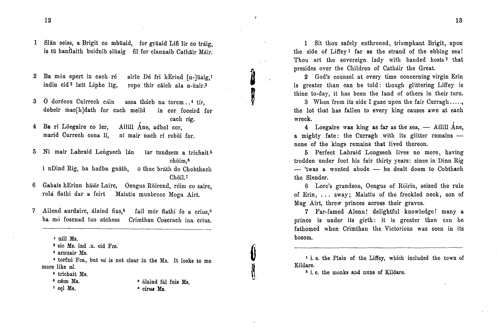1 Slān seiss, a Brigit co mbuaid, for gruaid Lifi lir co tráig is tū banflaith buidnib slūaig – fil for clannaib Cathāir Máir.

- airle Dé fri hErind  $[n-]$ uaig,<sup>1</sup> ropo thir caich ala n-uair.<sup>3</sup> 2 Ba móu epert in cach ré indiu cid <sup>2</sup> latt Liphe IIg,
- assa thácb na torcm..<sup>4</sup> tír,<br>h meild in cor foceird for dobeir mac[h]dath for cach meild caeh rig.  $3\quad \overline{0}$  doréceu Cuirrech cáin

Ailill Ane, adbol cor, ni mair naeh ri roboi for. 4 Ba rí Löegaire co ler marid Currech cona If,

5 Nī mair Labraid Longsech lán iar tundsem a tríchait choim,6

i nDind Rig, ba hadba gnath, o thuc brath do Chobthach Choil.<sup>7</sup>

- 6 Gabais hErinn h*ūäc* Luirc, Oengus Rōirend, réim co sairc rola flathi dar a feirt Maistiu munbrecc Moga Airt.
- Ailend aurdairc, alaind fius,<sup>s</sup> fail mór flathi fo a crius,<sup>9</sup> ba mó foscnad tan atchess Crimthan Coscrach ina crius. 7

1 uill Ms.

<sup>3</sup> arnuair Ms.

It looks to me • torcni Fcs., but *ni* is not clear in the Ms. more like al.

- <sup>5</sup> trichait *Ms.*
- <sup>6</sup> cæm Ms. <sup>7</sup> cel Ms.
- alaind fal fuis Ms. <sup>9</sup> cirus Ms.

1 Sit thou safely enthroned, triumphant Brigit, upon the side of Liffey<sup>1</sup> far as the strand of the ebbing sea! Thou art the sovereign lady with banded hosts<sup>2</sup> that presides over the Children of Cathair the Great.

2 God's counsel at every time concerning virgin Erin is greater than can be told: though glittering Liffey is thine to-day, it has been the land of others in their turn.

j<br>J

,

3 When from its side I gaze upon the fair Curragh ..... , the lot that has fallen to every king causes awe at each wreck.

4 Loegaire was king as far as the sea,  $-$  Ailill Ane, a mighty fate: the Curragh with its glitter remains  $$ none of the kings remains that lived thereon.

5 Perfect Labraid Longseeh lives no more, having trodden under foot his fair thirty years: since in Dinn Rig  $-$  'twas a wonted abode  $-$  he dealt doom to Cobthach the Slender.

6 Lorc's grandson, Oengus of Roiriu, seized the rule of Erin, ... sway; Maistiu of the freckled neck, son of Mug Airt, threw princes across their graves.

7 Far-famed Alenn! delightful knowledge! many a prince is under its girth: it is greater than can be fathomed when Crimthan the Victorious was seen in its bosom.

1 1. e. the Plain of the Liffey, which included the town of Kildare.

<sup>2</sup> i.e. the monks and nuns of Kildare.

<sup>2</sup> sic Ms. ind .u. cid Fcs.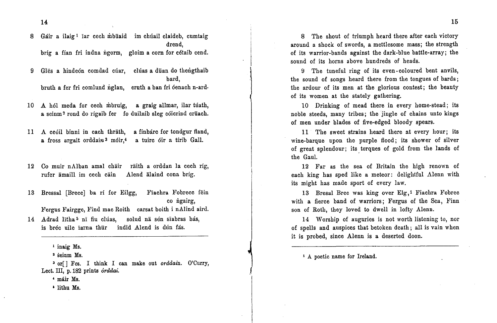$14$  and the contract of the contract of the contract of the contract of the contract of the contract of the contract of the contract of the contract of the contract of the contract of the contract of the contract of the

Gáir a ilaig <sup>1</sup> Iar cech mbuaid im chuail claideb, cumtaig drend, brig a fian fri indna ngorm, gloim a corn for cetaib cend. 8

Gles a hindeón comdad cúar, clúas a duan do thengthaib bard, bruth a fer fri comlund nglan, crnth a ban fri oenach n-ard· 9

10 A hól meda for cech mbruig, a graig allmar, ilar túath a seinm <sup>2</sup> rond do rigaib fer fo duilnib sleg coicrind cruach.

a fínbárc for tondgur fland, a tuirc óir a tírib Gall. 11 A ceoil binni in each thräth a fross argait orddain<sup>3</sup> móir,<sup>4</sup>

12 Co muir nAlban amal chāir - rāith a orddan la cech ríg, Alend alaind cona brig. rufer amaill im cech cain

13 Bressal [Brecc] ba rí for Eilgg, Fiachra Fobrecc fein co ngairg,

l!'ergus Fairgge, Find mac Roith carsat boith i nAlind aird.

14 Adrad lītha<sup>5</sup> nī fiu clúas, solud nā sén sīabras bás, is bréc uile iarna thur indid Alend is dun fas.

<sup>1</sup> inaig Ms.

<sup>2</sup> seinm Ms.

<sup>3</sup> or<sup>[]</sup> Fcs. I think I can make out *orddain*. O'Curry, Lect. Ill, p.182 prints *orddai.*

, mair Ms.

• lithu Ms.

8 The shout of triumph heard there after each victory around a shock of swords, a mcttlesome mass; the strength of its warrior-bands against the dark-blue battle-array; the sound of its horns above hundreds of heads.

9 The tuneful ring of its even-coloured bent anvils, the sound of songs heard there from the tongues of bards; the ardour of its men at the glorious contest; the beauty of its women at the stately gathering.

10 Drinking of mead there in every home-stead; its noble steeds, many tribes; the jingle of chains unto kings of men under blades of five-edged bloody spears.

11 The sweet strains heard there at every hour; its wine-barque upon the purple flood; its shower of silver of great splendour; its. torques of gold from the lands of the Gaul.

12 Far as the sea of Britain the high renown of each king has sped like a meteor; delightful Alenn with its might has made sport of every law.

13 Bresal Brec was king over Elg,1 Fiachra Fobrec with a fierce band of warriors; Fergus of the Sea, Finn son of Roth, they loved to dwell in lofty Alenn.

14 Worship of auguries is not worth listening to, nor of spells and auspices that betoken death; all is vain when it is probed, since Alenn is a deserted doon.

<sup>1</sup> A poetic name for Ireland.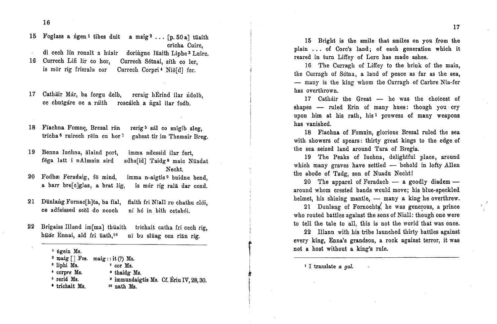16

15 Foglass a ngen<sup>1</sup> tibes duit a maig<sup>2</sup>... [p.50a] tuaith cricha Cuirc,

di cech lin ronalt a húair<br>16 Currech Lifi lir co hor. a huair doringne luaith Liphe<sup>3</sup> Luirc

Currech Sétnai, síth co ler, is mor rig frisrala cor Currech Corpri<sup>4</sup> Nio[d] fer.

17 Cathair Már, ba forgu delb, reraig hErind ilar ridolb, ce chutgare oc a raith roscaich a ngal Har fodb.

rerig <sup>5</sup> sal co snigib sleg, gabsat tir im Themair Breg. 18 Fiachna Fomne, Bresal ran trīcha<sup>6</sup> ruirech rēin cu hor<sup>7</sup>

19 Benna Iuchna, alaind port, imma ndessid ilar fert, fēga latt i nAlmain aird i nAlmain aird adba[id] Taidg<sup>8</sup> maic Nüada Necht.

20 Fodbæ Feradaig, fö mind, imma n-aigtis<sup>9</sup> buidne bend, a barr bre[c]glas is mór ríg rala dar cend.

flaith fri Nīall ro chathu clói, ni he in bith cetaboi. 21 Dünlang Fornac $[h]$ ta, ba fial, ce adfeissed scel do neoch

22 Brigaiss Illand im[ma] thuaith trichait catha fri cech rig, huae Ennai, ald fri uath,<sup>10</sup> ni bu sluag cen rian rig.

> $2 \text{ mag } [ ]$  Fes. maig::it(?) Ms. • cor Ms. • thaidg Ms. <sup>9</sup> immundaigtis Ms. Cf. Ériu IV, 28, 30. <sup>10</sup> nath Ms. <sup>1</sup> ngein Ms. <sup>3</sup> liphi Ms. • eorpre *Ms.* <sup>5</sup> rerid Ms. • trlehait Ms.

15 Bright is the smile that smiles on you from the plain ... of Corc's land; of each generation which it reared in turn Liffey of Lorc has made ashes.

16 The Curragh of Liffey to the brink of the main, the Curragh of Sctna, a land of peace as far as the sea, - many is the king whom the Curragh of Carbre Nia-fer has overthrown.

17 Catháir the Great - he was the choicest of shapes — ruled Erin of many hues: though you cry upon him at his rath, his <sup>1</sup> prowess of many weapons has vanished.

18 Fiachna of Fomuin, glorious Bresal ruled the sea with showers of spears: thirty great kings to the edge of the sea seized land around Tara of Bregia.

19 The Peaks of Iuchna, delightful place, around which many graves have settled — behold in lofty Allen the abode of Tadg, son of Nuadu Necht!

 $20$  The apparel of Feradach  $-$  a goodly diadem around whom crested bands would move; his blue-speckled helmet, his shining mantle, — many a king he overthrew

21 Dunlang of Fornochta, he was generous, a prince who routed battles against the sons of Niall: though one were to tell the tale to all, this is not the world that was once.

22 IlIann with his tribe launched thirty battles against every king, Enna's grandson, a rock against terror, it was not a host without a king's rule.

1 I translate *a gal.*

f~I,Ii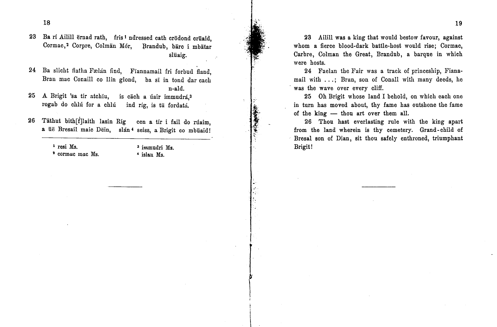23 Ba rí Ailill ernad rath, fris 1 ndressed cath crodond cruaid, Cormac,<sup>2</sup> Corpre, Colman Mór, Brandub, barc i mbatar sliiaig.

- 24 Ba slicht flatha Fælán find, Fiannamail fri forbud fland, Bran mac Conaill co llin glond, ba si in tond dar cach n-ald.
- 25 A Brigit 'sa tír atchīu, is cāch a úair immudrá,<sup>3</sup> rogab do chlú for a chlú ind ríg, is tū fordatá.
- 26 Tathut bith[f]laith lasin Rig cen a tir i fail do rúaim. a ue Bresail maic Dein, slán<sup>4</sup> seiss, a Brigit co mbuaid!

1 resi Ms.

<sup>2</sup> cormac mac Ms,

<sup>3</sup> immudri Ms. • islau Ms,

.~' .~·f' ,

23 Ailill was a king that would bestow favour, against whom a fierce blood-dark battle-host would rise; Cormac, Carbre, Colman the Great, Brandub, a barque in which were hosts.

24 Faelan the Fair was a track of princeship, Fianamail with ...; Bran, son of Conall with many deeds, he was the wave over every cliff.

25 Oh Brigit whose land I behold, on which each one in turn has moved about, thy fame has outshone the fame of the king - thou art over them all.

26 Thou hast everlasting rule with the king apart from the land wherein is thy cemetery. Grand-child of Bresal Bon of Dian, sit thou safely enthroned, triumphant Brigit!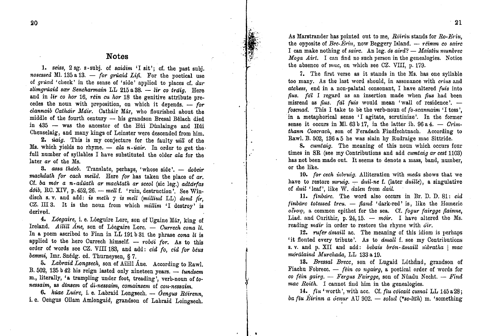#### **Notes**

*1. seiss,* 2 sg. s-subj. of *saidim* 'I sit'; cf. the past subj.  $n$ osessed Ml. 135 a 13. - *for gruaid Lifi.* For the poetical use of *gruad* 'cheek' in the sense of 'side' applied to places cf. *dar slimgrúaid sær Sencharmain* LL 215 a 38. - *lir co tráig.* Here and in lir co hor 16, rein cu hor 18 the genitive attribute precedes the noun with preposition, on which it depends. -- for *clannaib Gathdir Mait·.* Cathair Mar, who flourished about the middle of the fourth century - his grandson Bresal Belach died in 435 - was the ancestor of the Hui Dunlainge and Hui Chenselaig, and many kings of Leinster were descended from him.

2. *uaig*. This is my conjecture for the faulty *uill* of the Ms. which yields no rhyme.  $-$  *ala n*-*úair*. In order to get the full number of syllables I have substituted the older *ala* for the later *ar* of the Ms.

3. *assa thaeb.* Translate, perhaps, 'whose side'. - *dobeir machdath for each meild.* Here *for* has taken the place of *ar.* Cf.. *ba mar a n-aduath ar maclltath ar sceol* (sic leg.) *adtarfas dotb*, RC. XIV, p. 452, 26. -- *mell* f. 'ruin, destruction'. See Win-<br>disch s. v. and add: is meth 7 is mell (milling LL) dond fir. disch s. v. and .add: *is meth* 7 is *melt (milliud* LL) *dond fir,* CZ. III 3. It IS the noun from which *millim* 'I destroy' is derived.

4. *Lóegaire*, i. e. Lóeguire Lorc, son of Ugaine Már, king of Ireland. Ailill Ane, son of Lóegaire Lorc. - *Currech cona It.* In a poem ascribed to Finn in LL 191b 31 the phrase *cona 1£* is applied to the hero Currech himself. - *roboi for*. As to this order of words see CZ. VIII 183, and add: *cid fo, cid for beus* bemni, Imr. Snédg. ed. Thurneysen, § 7.

5. *Labraid Longsech*, son of Ailill Ane. According to Rawl. B. 502, 135 b 42 his reign lasted only nineteen years. -- tundsem m., literally, "a trampling under foot, treading', verb-noun of *tonessaim,* as *dinsem* of *di-nessaim, comainsem* of *con-nessaim.*

6. *húae Luirc*, i. e. Labraid Longsech. - Óengus Róirenn. i. e. Oengus Ollam Amlongaid, grandson of Labraid Loingsech. 2<br>
As Marstrander has pointed out to me, Róiriu stands for Ro-Eriu<br>
the opposite of Bec-Ériu, now Beggery Island. — réimm co sair<br>
I can make nothing of sairc. An leg. ós aird? — Maistiu mundre<br>
Moga Airt. I can find no su As Marstrander has pointed out to me, *Roiriu* stands for *Ro-Eriu*, the opposite of *Bec-Ériu*, now Beggery Island.  $-$  *réimm co sairc* I can make nothing of *sairc.* An leg. *os aird?* - *Maistiu munbrec Moga Airt.* I can find no such person in the genealogies. Notice the absence of *mac*, on which see CZ. VIII, p. 179.

'" ,,..,, . 13 .

> 7. The first verse as it stands in the Ms. has one syllable too many. As the last word should, in assonance with *crius* and *atchess,* end in a non-palatal consonant, I have altered *fuis* into *{ius. fal* I regard as an insertion made when *{ius* had been misread as *fius. fal fuis* would mean 'wall of residence'. *foscnad.* This I take to be the verb-noun of *fo-scannaim* 'I toss', in a metaphorical sense 'I agitate, scrutinize'. In the former sense it occurs in Ml.  $63b17$ , in the latter ib.  $96a4. - Crim$ *thann Goscmch,* son of Feradach Findfechtnach. According to Raw!. B. 502, 136a 5 he was slain hy Rudraige mac Sittride.

> 8. *cumtaig.* The meaning of this noun which occurs four times in SR (see my Contributions and add *cumtaig ar cest 1103)* has not been made out. It seems to denote <sup>a</sup> mass, band, number, or the like.

> 10. *for cech inbruig.* Alliteration with *meda* shows that we have to restore *mruig.* - *duil-ne* f. (later *duille*), a singulative of *duil* 'leaf', like W. *dalen* from *daU.*

> *11. finbarc.* The word also occurs in Br. D. D. 81: *cid finbarc totessed treu.* - *{land* 'dark-red' is, like the Homeric *ol'volp,* a common epithet for the sea. Cf. *fogur fairgge [lainne,* Liad. and Curithir, p.  $24,15.$  - moir. I have altered the Ms. reading *mait·* in order to restore the rhyme with *dir.*

> 12. *rufer <i>amaill* ac. The meaning of this idiom is perhaps 'it flouted every tribute'. As to *amall* f. see my Contributions s. v. and p. XII and add: *bebais bron-āmaill nibratha* | *mac morillaind Murchada,* LL 133a *1D.*

> 13. *Bressal Brecc*, son of Lugaid Lothfind, grandson of Fiachu Fobrecc. - *fein* co ngairg, a poetical order of words for *co fein gairg.* - *Fergus Fairgge,* son of Nuadu Necht. - *Find mac Roith.* I cannot find him in the genealogies.

> *14. fill..* 'worth', with ace. Cf.*fiu coicait cumctl* LL 145a28j *ba fiu Eirinn a denur* AU 902. - *solud* (\*so-lith) m. 'something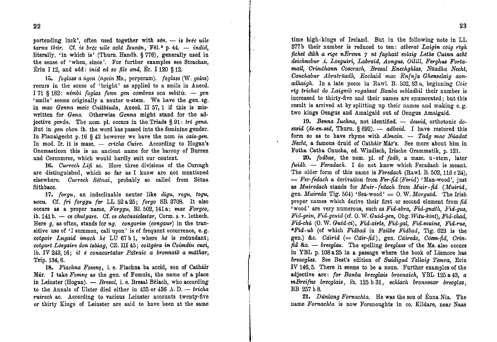portending luck', often used together with  $s\ell n$ . - is brec wile iarna thúr. Cf. is bréc uile acht Isucán, Fél.<sup>2</sup> p. 44. - indid, literally, 'in which is' (Thurn. Handb. § 776), generally used in the sense of 'when, since'. For further examples see Strachan, Ériu I 12, and add: *inid ed so file and*, Ér. I 120 § 12.

15. foglass a ngen (ngein Ms., perperam). foglass (W. golas) recurs in the sense of 'bright' as applied to a smile in Anecd. I 71 \$ 182: nimbi foglas fonn gen combras oca mbitis.  $-$  gen 'smile' seems originally a neuter u-stem. We have the gen. sg. in mac Genna meic Cuitbiuda, Anecd. II 57, 1 if this is miswritten for Gena. Otherwise Genna might stand for the adjective genda. The nom. pl. occurs in the Triads § 91: tri gena. But in gen chon ib. the word has passed into the feminine gender. In Fianaigecht p. 16 § 42 however we have the nom in cais-gen. In mod. Ir. it is masc.  $-$  cricha Cuirc. According to Hogan's Onomasticon this is an ancient name for the barony of Burren and Corcumroe, which would hardly suit our context.

16. Currech Lifi ac. Here three divisions of the Curragh are distinguished, which so far as I know are not mentioned elsewhere. Currech Sétnai, probably so called from Sétna Sithbacc.

17. forgu, an indeclinable neuter like digu, rogu, togu, uccu. Cf. fri forggu fer LL 52 a 25; forgo SR 3708. It also occurs as a proper name, Forggu, Rl. 502, 141 a; mac Forgco, ib.  $141 b. - ce$  chutgare. Cf. ce chotnaiclestar, Corm. s. v. lethech. Here  $g$ , as often, stands for  $ng$ . congarim (congaur) in the transitive use of 'I summon, call upon' is of frequent occurrence, e.g. cotgair Lugaid imach hé LU 67b1, where hé is redundant; cotgart Lóegaire don tslúag. CZ. III 45; coitgéra in Coimdiu cuci, ib. IV 243.16: it é conacartatar Pátraic a bronnaib a máthar, Trip. 134, 6.

18. Fiachna Fomne, i. e. Fiachna ba accid, son of Catháir Már. I take Fomne as the gen. of Fomuin, the name of a place in Leinster (Hogan). - Bresal, i. e. Bresal Bélach, who according to the Annals of Ulster died either in  $435$  or  $436$  A.D. -- tricha ruirech ac. According to various Leinster accounts twenty-five or thirty Kings of Leinster are said to have been at the same

time high-kings of Ireland. But in the following note in LL 377b their number is reduced to ten: atberat Laigin coig righ fichet dibh a rige nErenn 7 ní faghait eolaig Lethe Cuinn acht deichnebur .i. Loeguiri, Labraid, Aongus, Oilill, Ferghus Fortamail, Crinthann Coscrach, Bresal Enechahlas, Nüadha Necht. Conchabur Abratruadh, Eochaid mac Enfnla Ghenselaig aonadhaigh. In a late poem in Rawl. B. 502.83 a, beginning Coic rīg trichat do Laignib rogabsat Banba mbladbil their number is increased to thirty-five and their names are enumerated: but this result is arrived at by splitting up their names and making e.g. two kings Oengus and Amalgaid out of Oengus Amalgaid.

19. Benna Iuchna, not identified. - dessid, orthotonic doessid (de-en-sed, Thurn.  $\S 692$ ). -- adbaid. I have restored this form so as to have rhyme with Almain. - Tada mac Núadat Necht, a famous druid of Catháir Már's. See more about him in Fotha Catha Cnucha, ed. Windisch, Irische Grammatik, p. 121.

20. fodbae, the nom. pl. of fodb, a masc. u-stem, later fuidb. - Feradach. I do not know which Feradach is meant. The older form of this name is Feredach (Rawl. B. 502, 116 c 24).  $=$  Fer-fedach a derivation from Fer-fid (Ferid) 'Man-wood', just as Muiredach stands for Muir-fedach from Muir-fid (Muirid. gen. Muireda Tig. 564) 'Sea-wood' =  $0. W.$  Morquid. The Irish proper names which derive their first or second element from fid 'wood' are very numerous, such as Fid-abra, Fid-gnath, Fid-gus, Fid-gein, Fid-genid (cf. O.W. Guid-gen, Ohg. Witu-kint). Fid-chad. Fid-chú (O. W. Guid-ci), Fid-airle, Fid-gal, Fid-muine, Fid-rue, \*Fid-ub (of which Fidbad in Failbe Fidbad. Tig. 623 is the gen.) &c. Cáirid (= Cáir-fid), gen. Cáiredo. Cóem-fid. Crín- $\hat{f}$ id &c. -- brecglas. The spelling breakass of the Ms. also occurs in YBL p. 108 a 25 in a passage where the book of Lismore has breacglas. See Best's edition of Suidigud Tellaig Temra, Eriu IV 146.5. There it seems to be a noun. Further examples of the adjective are: for Banba brecglais broenaich, YBL 125 a 43, a mBreifne brecglais, ib. 125 b 31, echlach bronnmar brecglas, BB 257 b 8.

21. Dunlang Fornachta. He was the son of Enna Nia. The name Fornachta is now Forenoughts in co. Kildare, near Naas

23